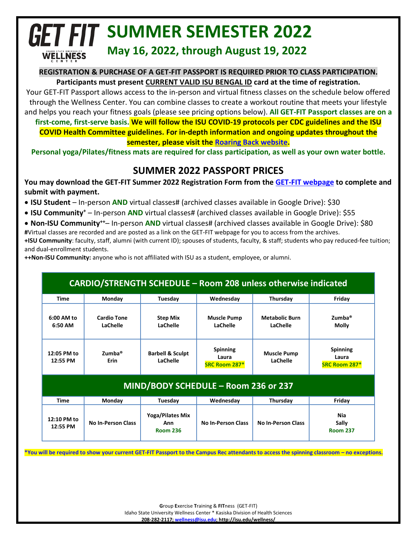## **GET FIT SUMMER SEMESTER 2022 May 16, 2022, through August 19, 2022 WELLNESS**

#### **REGISTRATION & PURCHASE OF A GET-FIT PASSPORT IS REQUIRED PRIOR TO CLASS PARTICIPATION.**

**Participants must present CURRENT VALID ISU BENGAL ID card at the time of registration.**

Your GET-FIT Passport allows access to the in-person and virtual fitness classes on the schedule below offered through the Wellness Center. You can combine classes to create a workout routine that meets your lifestyle and helps you reach your fitness goals (please see pricing options below). **All GET-FIT Passport classes are on a first-come, first-serve basis. We will follow the ISU COVID-19 protocols per CDC guidelines and the ISU COVID Health Committee guidelines. For in-depth information and ongoing updates throughout the** 

**semester, please visit th[e Roaring Back website.](https://www.isu.edu/roaringback/)**

**Personal yoga/Pilates/fitness mats are required for class participation, as well as your own water bottle.**

## **SUMMER 2022 PASSPORT PRICES**

**You may download the GET-FIT Summer 2022 Registration Form from th[e GET-FIT webpage](https://www.isu.edu/wellness/get-fit/) to complete and submit with payment.**

- **ISU Student** In-person **AND** virtual classes# (archived classes available in Google Drive): \$30
- **ISU Community+** In-person **AND** virtual classes# (archived classes available in Google Drive): \$55
- **Non-ISU Community++** In-person **AND** virtual classes# (archived classes available in Google Drive): \$80 **#**Virtual classes are recorded and are posted as a link on the GET-FIT webpage for you to access from the archives. **+ISU Community**: faculty, staff, alumni (with current ID); spouses of students, faculty, & staff; students who pay reduced-fee tuition; and dual-enrollment students.

**++Non-ISU Community:** anyone who is not affiliated with ISU as a student, employee, or alumni.

| <b>CARDIO/STRENGTH SCHEDULE - Room 208 unless otherwise indicated</b> |                                |                                            |                                           |                                   |                                           |
|-----------------------------------------------------------------------|--------------------------------|--------------------------------------------|-------------------------------------------|-----------------------------------|-------------------------------------------|
| <b>Time</b>                                                           | Monday                         | Tuesday                                    | Wednesday                                 | Thursday                          | Friday                                    |
| 6:00 AM to<br>6:50 AM                                                 | <b>Cardio Tone</b><br>LaChelle | <b>Step Mix</b><br>LaChelle                | <b>Muscle Pump</b><br>LaChelle            | <b>Metabolic Burn</b><br>LaChelle | Zumba <sup>®</sup><br><b>Molly</b>        |
| 12:05 PM to<br>12:55 PM                                               | $Zumba$ <sup>®</sup><br>Erin   | <b>Barbell &amp; Sculpt</b><br>LaChelle    | <b>Spinning</b><br>Laura<br>SRC Room 287* | <b>Muscle Pump</b><br>LaChelle    | <b>Spinning</b><br>Laura<br>SRC Room 287* |
| MIND/BODY SCHEDULE - Room 236 or 237                                  |                                |                                            |                                           |                                   |                                           |
| Time                                                                  | Monday                         | Tuesday                                    | Wednesday                                 | Thursday                          | Friday                                    |
| 12:10 PM to<br>12:55 PM                                               | <b>No In-Person Class</b>      | Yoga/Pilates Mix<br>Ann<br><b>Room 236</b> | <b>No In-Person Class</b>                 | <b>No In-Person Class</b>         | Nia<br>Sally<br><b>Room 237</b>           |

**\*You will be required to show your current GET-FIT Passport to the Campus Rec attendants to access the spinning classroom – no exceptions.**